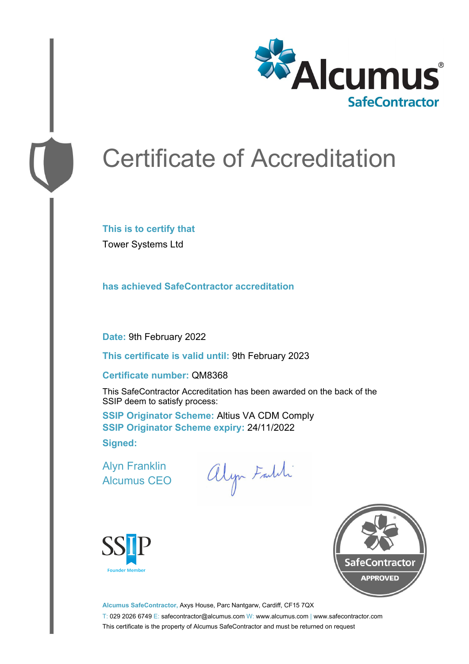

# Certificate of Accreditation

**This is to certify that** Tower Systems Ltd

**has achieved SafeContractor accreditation**

**Date:** 9th February 2022

**This certificate is valid until:** 9th February 2023

#### **Certificate number:** QM8368

This SafeContractor Accreditation has been awarded on the back of the SSIP deem to satisfy process:

**SSIP Originator Scheme:** Altius VA CDM Comply **SSIP Originator Scheme expiry:** 24/11/2022 **Signed:**

Alyn Franklin Alcumus CEO

alyn Faldi





**Alcumus SafeContractor,** Axys House, Parc Nantgarw, Cardiff, CF15 7QX T: 029 2026 6749 E: safecontractor@alcumus.com W: www.alcumus.com | www.safecontractor.com This certificate is the property of Alcumus SafeContractor and must be returned on request